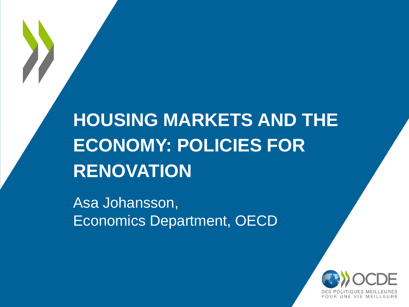# **HOUSING MARKETS AND THE ECONOMY: POLICIES FOR RENOVATION**

Asa Johansson, Economics Department, OECD

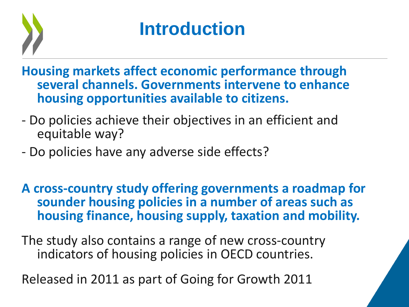

# **Introduction**

**Housing markets affect economic performance through several channels. Governments intervene to enhance housing opportunities available to citizens.**

- Do policies achieve their objectives in an efficient and equitable way?
- Do policies have any adverse side effects?

**A cross-country study offering governments a roadmap for sounder housing policies in a number of areas such as housing finance, housing supply, taxation and mobility.**

The study also contains a range of new cross-country indicators of housing policies in OECD countries.

Released in 2011 as part of Going for Growth 2011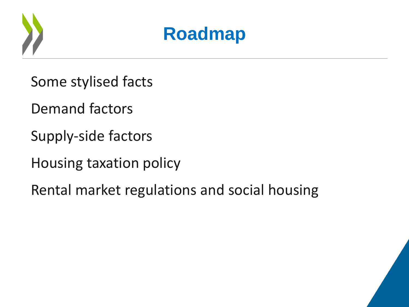



Some stylised facts

Demand factors

Supply-side factors

Housing taxation policy

Rental market regulations and social housing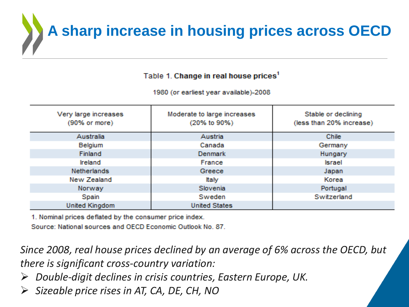

Table 1. Change in real house prices<sup>1</sup>

1980 (or earliest year available)-2008

| Very large increases<br>$(90\% \text{ or more})$ | Moderate to large increases<br>(20% to 90%) | Stable or declining<br>(less than 20% increase) |
|--------------------------------------------------|---------------------------------------------|-------------------------------------------------|
| <b>Australia</b>                                 | <b>Austria</b>                              | <b>Chile</b>                                    |
| Belgium                                          | Canada                                      | Germany                                         |
| <b>Finland</b>                                   | Denmark                                     | Hungary                                         |
| <b>Ireland</b>                                   | France                                      | <b>Israel</b>                                   |
| Netherlands                                      | Greece                                      | Japan                                           |
| New Zealand                                      | ltaly                                       | Korea                                           |
| Norway                                           | <b>Slovenia</b>                             | Portugal                                        |
| <b>Spain</b>                                     | <b>Sweden</b>                               | Switzerland                                     |
| <b>United Kingdom</b>                            | <b>United States</b>                        |                                                 |

1. Nominal prices deflated by the consumer price index.

Source: National sources and OECD Economic Outlook No. 87.

*Since 2008, real house prices declined by an average of 6% across the OECD, but there is significant cross-country variation:*

- *Double-digit declines in crisis countries, Eastern Europe, UK.*
- *Sizeable price rises in AT, CA, DE, CH, NO*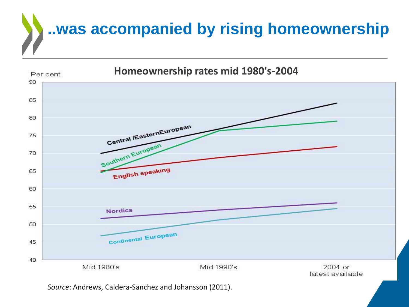

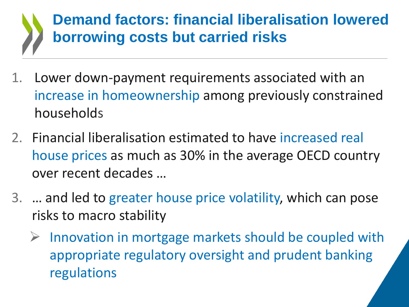### **Demand factors: financial liberalisation lowered borrowing costs but carried risks**

- 1. Lower down-payment requirements associated with an increase in homeownership among previously constrained households
- 2. Financial liberalisation estimated to have increased real house prices as much as 30% in the average OECD country over recent decades …
- 3. … and led to greater house price volatility, which can pose risks to macro stability
	- $\triangleright$  Innovation in mortgage markets should be coupled with appropriate regulatory oversight and prudent banking regulations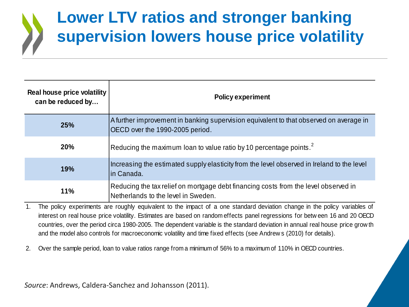## **Lower LTV ratios and stronger banking supervision lowers house price volatility**

| <b>Real house price volatility</b><br>can be reduced by | <b>Policy experiment</b>                                                                                                   |
|---------------------------------------------------------|----------------------------------------------------------------------------------------------------------------------------|
| 25%                                                     | A further improvement in banking supervision equivalent to that observed on average in<br>OECD over the 1990-2005 period.  |
| 20%                                                     | Reducing the maximum loan to value ratio by 10 percentage points. <sup>2</sup>                                             |
| 19%                                                     | Increasing the estimated supply elasticity from the level observed in Ireland to the level<br>in Canada.                   |
| 11%                                                     | Reducing the tax relief on mortgage debt financing costs from the level observed in<br>Netherlands to the level in Sweden. |

1. The policy experiments are roughly equivalent to the impact of a one standard deviation change in the policy variables of 11%<br> **interest on real house price volatility.** Estimates are based on random effects panel regressions for betw een 16 and 20 OECD<br>
countries over the period circa 1980-2005. The dependent variable is the standard deviati Netherlands to the level in Sweden.<br>The policy experiments are roughly equivalent to the impact of a one standard deviation change in the policy variables of<br>interest on real house price volatility. Estimates are based on The policy experiments are roughly equivalent to the impact of a one standard deviation change in the polic<br>interest on real house price volatility. Estimates are based on random effects panel regressions for betw een 16<br>c

2. Over the sample period, loan to value ratios range from a minimum of 56% to a maximum of 110% in OECD countries.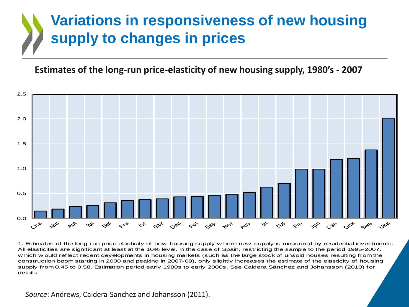### **Variations in responsiveness of new housing supply to changes in prices**

#### **Estimates of the long-run price-elasticity of new housing supply, 1980's - 2007**



1. Estimates of the long-run price elasticity of new housing supply where new supply is measured by residential investments.<br>All elasticities are significant at least at the 10% level. In the case of Spain, restricting the  $\circ$ <sup>6</sup>  $\leftrightarrow$ <sup>6</sup>  $\circ$ <sup>6</sup>  $\circ$ <sup>6</sup>  $\circ$ <sup>6</sup>  $\circ$ <sup>6</sup>  $\circ$ <sup>6</sup>  $\circ$ <sup>6</sup>  $\circ$ <sup>6</sup>  $\circ$ <sup>6</sup>  $\circ$ <sup>6</sup>  $\circ$ <sup>6</sup>  $\circ$ <sup>6</sup>  $\circ$ <sup>6</sup>  $\circ$ <sup>6</sup>  $\circ$ <sup>6</sup>  $\circ$ <sup>6</sup>  $\circ$ <sup>6</sup>  $\circ$ <sup>6</sup>  $\circ$ <sup>6</sup>  $\circ$ <sup>6</sup>  $\circ$ <sup>6</sup>  $\circ$ <sup>6</sup>  $\circ$ <sup>6</sup>  $\circ$ <sup>6</sup>  $\circ$ <sup>6</sup>  $\circ$ <sup>6</sup>  $\circ$ <sup></sup> construction boom starting in 2000 and peaking in 2007-09), only slightly increases the estimate of the elasticity of housing supply from 0.45 to 0.58. Estimation period early 1980s to early 2000s. See Caldera Sánchez and Johansson (2010) for details.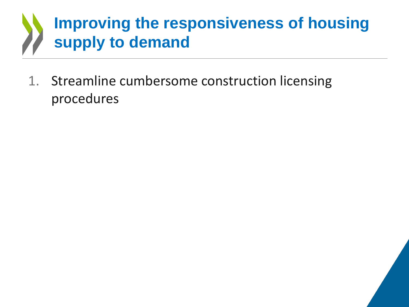## **Improving the responsiveness of housing supply to demand**

1. Streamline cumbersome construction licensing procedures

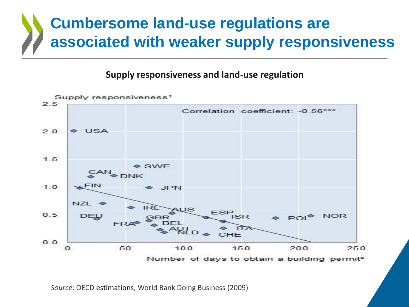## **Cumbersome land-use regulations are associated with weaker supply responsiveness**

#### **Supply responsiveness and land-use regulation**



*Source*: OECD estimations, World Bank Doing Business (2009)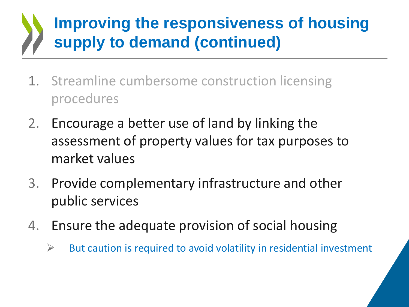## **Improving the responsiveness of housing supply to demand (continued)**

- 1. Streamline cumbersome construction licensing procedures
- 2. Encourage a better use of land by linking the assessment of property values for tax purposes to market values
- 3. Provide complementary infrastructure and other public services
- 4. Ensure the adequate provision of social housing
	- $\triangleright$  But caution is required to avoid volatility in residential investment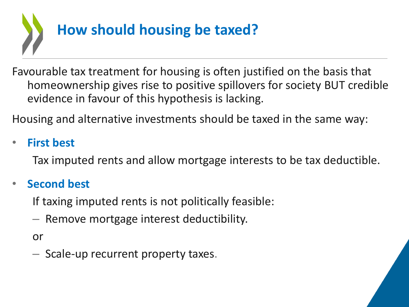

Favourable tax treatment for housing is often justified on the basis that homeownership gives rise to positive spillovers for society BUT credible evidence in favour of this hypothesis is lacking.

Housing and alternative investments should be taxed in the same way:

### • **First best**

Tax imputed rents and allow mortgage interests to be tax deductible.

#### • **Second best**

If taxing imputed rents is not politically feasible:

– Remove mortgage interest deductibility.

or

– Scale-up recurrent property taxes.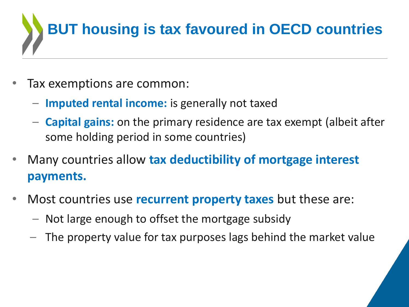

- Tax exemptions are common:
	- **Imputed rental income:** is generally not taxed
	- **Capital gains:** on the primary residence are tax exempt (albeit after some holding period in some countries)
- Many countries allow **tax deductibility of mortgage interest payments.**
- Most countries use **recurrent property taxes** but these are:
	- Not large enough to offset the mortgage subsidy
	- The property value for tax purposes lags behind the market value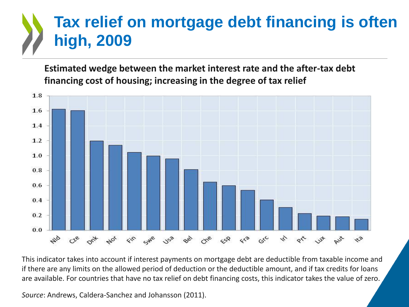## **Tax relief on mortgage debt financing is often high, 2009**

**Estimated wedge between the market interest rate and the after-tax debt financing cost of housing; increasing in the degree of tax relief**



This indicator takes into account if interest payments on mortgage debt are deductible from taxable income and if there are any limits on the allowed period of deduction or the deductible amount, and if tax credits for loans are available. For countries that have no tax relief on debt financing costs, this indicator takes the value of zero.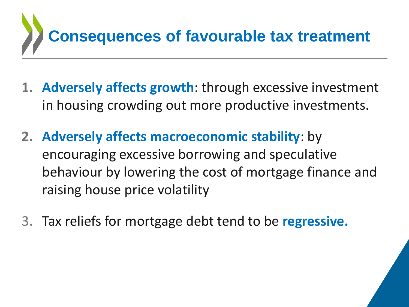

- **1. Adversely affects growth**: through excessive investment in housing crowding out more productive investments.
- **2. Adversely affects macroeconomic stability**: by encouraging excessive borrowing and speculative behaviour by lowering the cost of mortgage finance and raising house price volatility
- 3. Tax reliefs for mortgage debt tend to be **regressive.**

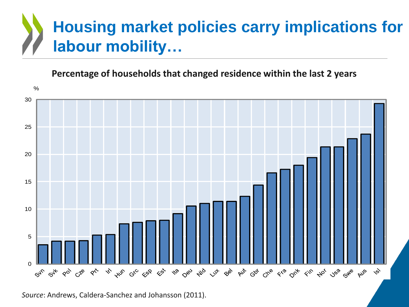# **Housing market policies carry implications for labour mobility… Percentage of households that changed residence within the last 2 years**<br>**Percentage of households that changed residence within the last 2 years**

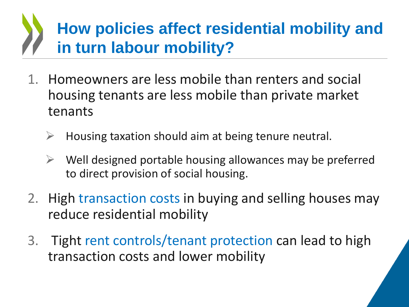# **How policies affect residential mobility and in turn labour mobility?**

- 1. Homeowners are less mobile than renters and social housing tenants are less mobile than private market tenants
	- Housing taxation should aim at being tenure neutral.
	- Well designed portable housing allowances may be preferred to direct provision of social housing.
- 2. High transaction costs in buying and selling houses may reduce residential mobility
- 3. Tight rent controls/tenant protection can lead to high transaction costs and lower mobility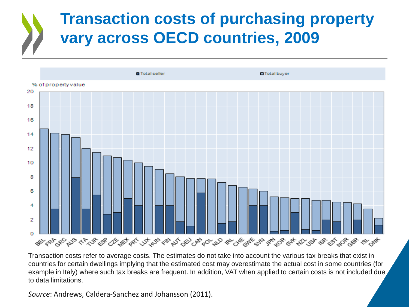### **Transaction costs of purchasing property vary across OECD countries, 2009**



Transaction costs refer to average costs. The estimates do not take into account the various tax breaks that exist in countries for certain dwellings implying that the estimated cost may overestimate the actual cost in some countries (for example in Italy) where such tax breaks are frequent. In addition, VAT when applied to certain costs is not included due, to data limitations.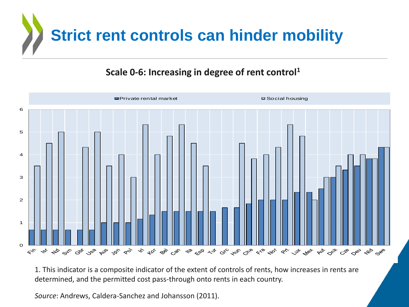

#### **Scale 0-6: Increasing in degree of rent control<sup>1</sup>**



1. This indicator is a composite indicator of the extent of controls of rents, how increases in rents are determined, and the permitted cost pass-through onto rents in each country.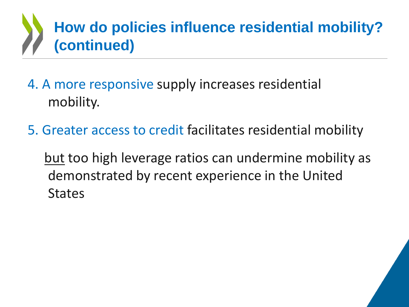# **How do policies influence residential mobility? (continued)**

- 4. A more responsive supply increases residential mobility.
- 5. Greater access to credit facilitates residential mobility
	- but too high leverage ratios can undermine mobility as demonstrated by recent experience in the United **States**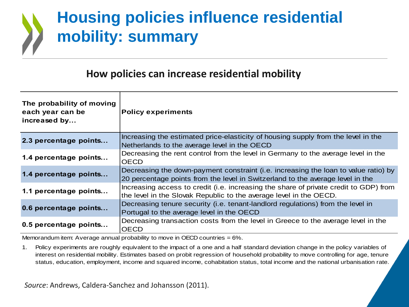## **Housing policies influence residential mobility: summary**

#### **How policies can increase residential mobility**

| The probability of moving<br>each year can be<br>increased by | <b>Policy experiments</b>                                                                                                                                             |
|---------------------------------------------------------------|-----------------------------------------------------------------------------------------------------------------------------------------------------------------------|
| 2.3 percentage points                                         | Increasing the estimated price-elasticity of housing supply from the level in the<br>Netherlands to the average level in the OECD                                     |
| 1.4 percentage points                                         | Decreasing the rent control from the level in Germany to the average level in the<br>OECD                                                                             |
| 1.4 percentage points                                         | Decreasing the down-payment constraint (i.e. increasing the loan to value ratio) by<br>20 percentage points from the level in Switzerland to the average level in the |
| 1.1 percentage points                                         | Increasing access to credit (i.e. increasing the share of private credit to GDP) from<br>the level in the Slovak Republic to the average level in the OECD.           |
| 0.6 percentage points                                         | Decreasing tenure security (i.e. tenant-landlord regulations) from the level in<br>Portugal to the average level in the OECD                                          |
| 0.5 percentage points                                         | Decreasing transaction costs from the level in Greece to the average level in the<br><b>OECD</b>                                                                      |

Memorandum item: Average annual probability to move in OECD countries  $= 6\%$ .

1. Policy experiments are roughly equivalent to the impact of a one and a half standard deviation change in the policy variables of interest on residential mobility. Estimates based on probit regression of household probability to move controlling for age, tenure status, education, employment, income and squared income, cohabitation status, total income and the national urbanisation rate.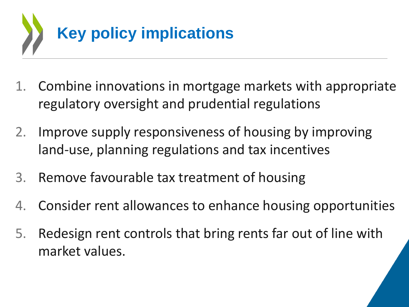

- 1. Combine innovations in mortgage markets with appropriate regulatory oversight and prudential regulations
- 2. Improve supply responsiveness of housing by improving land-use, planning regulations and tax incentives
- 3. Remove favourable tax treatment of housing
- 4. Consider rent allowances to enhance housing opportunities
- 5. Redesign rent controls that bring rents far out of line with market values.